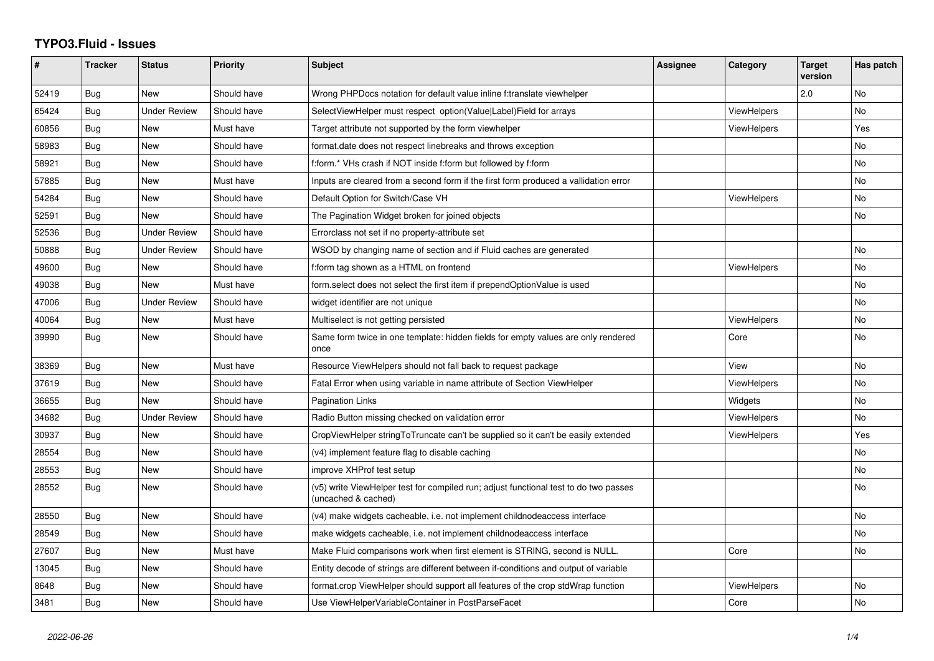## **TYPO3.Fluid - Issues**

| #     | <b>Tracker</b> | <b>Status</b>       | <b>Priority</b> | <b>Subject</b>                                                                                              | Assignee | Category           | <b>Target</b><br>version | Has patch |
|-------|----------------|---------------------|-----------------|-------------------------------------------------------------------------------------------------------------|----------|--------------------|--------------------------|-----------|
| 52419 | <b>Bug</b>     | <b>New</b>          | Should have     | Wrong PHPDocs notation for default value inline f:translate viewhelper                                      |          |                    | 2.0                      | <b>No</b> |
| 65424 | <b>Bug</b>     | <b>Under Review</b> | Should have     | SelectViewHelper must respect option(Value Label)Field for arrays                                           |          | ViewHelpers        |                          | No.       |
| 60856 | Bug            | New                 | Must have       | Target attribute not supported by the form viewhelper                                                       |          | <b>ViewHelpers</b> |                          | Yes       |
| 58983 | Bug            | <b>New</b>          | Should have     | format date does not respect linebreaks and throws exception                                                |          |                    |                          | No        |
| 58921 | Bug            | New                 | Should have     | f:form.* VHs crash if NOT inside f:form but followed by f:form                                              |          |                    |                          | No.       |
| 57885 | Bug            | New                 | Must have       | Inputs are cleared from a second form if the first form produced a vallidation error                        |          |                    |                          | No        |
| 54284 | Bug            | New                 | Should have     | Default Option for Switch/Case VH                                                                           |          | <b>ViewHelpers</b> |                          | No        |
| 52591 | Bug            | New                 | Should have     | The Pagination Widget broken for joined objects                                                             |          |                    |                          | <b>No</b> |
| 52536 | <b>Bug</b>     | <b>Under Review</b> | Should have     | Errorclass not set if no property-attribute set                                                             |          |                    |                          |           |
| 50888 | Bug            | Under Review        | Should have     | WSOD by changing name of section and if Fluid caches are generated                                          |          |                    |                          | <b>No</b> |
| 49600 | Bug            | New                 | Should have     | f:form tag shown as a HTML on frontend                                                                      |          | ViewHelpers        |                          | <b>No</b> |
| 49038 | Bug            | <b>New</b>          | Must have       | form select does not select the first item if prependOptionValue is used                                    |          |                    |                          | No        |
| 47006 | Bug            | Under Review        | Should have     | widget identifier are not unique                                                                            |          |                    |                          | No.       |
| 40064 | Bug            | New                 | Must have       | Multiselect is not getting persisted                                                                        |          | <b>ViewHelpers</b> |                          | <b>No</b> |
| 39990 | Bug            | New                 | Should have     | Same form twice in one template: hidden fields for empty values are only rendered<br>once                   |          | Core               |                          | No        |
| 38369 | Bug            | New                 | Must have       | Resource ViewHelpers should not fall back to request package                                                |          | View               |                          | No.       |
| 37619 | Bug            | New                 | Should have     | Fatal Error when using variable in name attribute of Section ViewHelper                                     |          | ViewHelpers        |                          | <b>No</b> |
| 36655 | Bug            | New                 | Should have     | <b>Pagination Links</b>                                                                                     |          | Widgets            |                          | No        |
| 34682 | Bug            | <b>Under Review</b> | Should have     | Radio Button missing checked on validation error                                                            |          | <b>ViewHelpers</b> |                          | No        |
| 30937 | Bug            | New                 | Should have     | CropViewHelper stringToTruncate can't be supplied so it can't be easily extended                            |          | <b>ViewHelpers</b> |                          | Yes       |
| 28554 | Bug            | New                 | Should have     | (v4) implement feature flag to disable caching                                                              |          |                    |                          | No        |
| 28553 | Bug            | <b>New</b>          | Should have     | improve XHProf test setup                                                                                   |          |                    |                          | No        |
| 28552 | Bug            | New                 | Should have     | (v5) write ViewHelper test for compiled run; adjust functional test to do two passes<br>(uncached & cached) |          |                    |                          | <b>No</b> |
| 28550 | Bug            | New                 | Should have     | (v4) make widgets cacheable, i.e. not implement childnodeaccess interface                                   |          |                    |                          | <b>No</b> |
| 28549 | Bug            | New                 | Should have     | make widgets cacheable, i.e. not implement childnodeaccess interface                                        |          |                    |                          | No        |
| 27607 | Bug            | New                 | Must have       | Make Fluid comparisons work when first element is STRING, second is NULL.                                   |          | Core               |                          | No        |
| 13045 | Bug            | New                 | Should have     | Entity decode of strings are different between if-conditions and output of variable                         |          |                    |                          |           |
| 8648  | Bug            | New                 | Should have     | format.crop ViewHelper should support all features of the crop stdWrap function                             |          | ViewHelpers        |                          | No.       |
| 3481  | Bug            | New                 | Should have     | Use ViewHelperVariableContainer in PostParseFacet                                                           |          | Core               |                          | No        |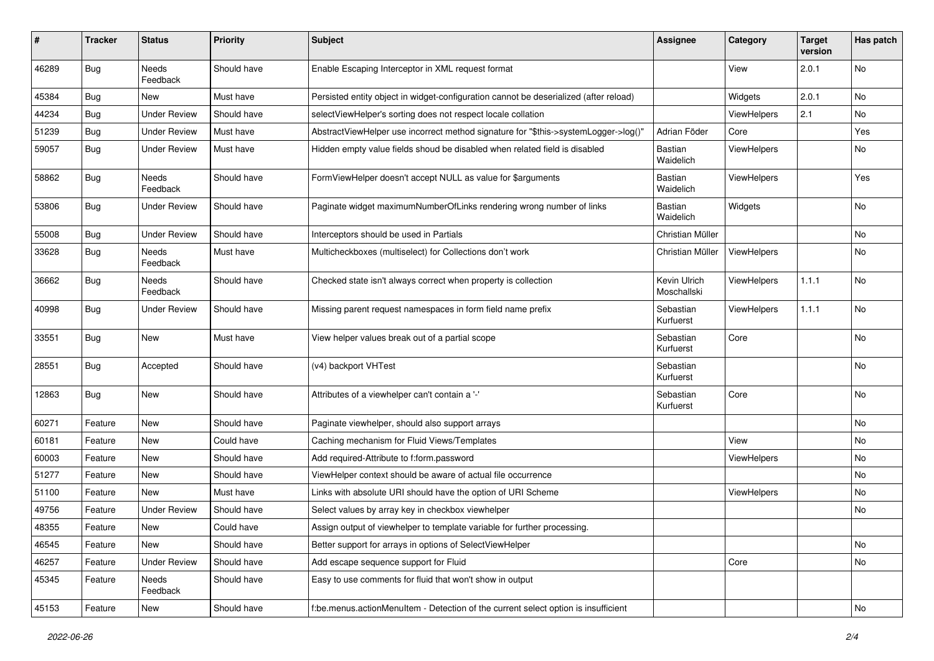| $\pmb{\#}$ | <b>Tracker</b> | <b>Status</b>            | <b>Priority</b> | Subject                                                                               | <b>Assignee</b>             | Category    | <b>Target</b><br>version | Has patch |
|------------|----------------|--------------------------|-----------------|---------------------------------------------------------------------------------------|-----------------------------|-------------|--------------------------|-----------|
| 46289      | Bug            | <b>Needs</b><br>Feedback | Should have     | Enable Escaping Interceptor in XML request format                                     |                             | View        | 2.0.1                    | No        |
| 45384      | Bug            | New                      | Must have       | Persisted entity object in widget-configuration cannot be deserialized (after reload) |                             | Widgets     | 2.0.1                    | No        |
| 44234      | Bug            | <b>Under Review</b>      | Should have     | selectViewHelper's sorting does not respect locale collation                          |                             | ViewHelpers | 2.1                      | No        |
| 51239      | Bug            | <b>Under Review</b>      | Must have       | AbstractViewHelper use incorrect method signature for "\$this->systemLogger->log()"   | Adrian Föder                | Core        |                          | Yes       |
| 59057      | Bug            | Under Review             | Must have       | Hidden empty value fields shoud be disabled when related field is disabled            | Bastian<br>Waidelich        | ViewHelpers |                          | No        |
| 58862      | Bug            | Needs<br>Feedback        | Should have     | FormViewHelper doesn't accept NULL as value for \$arguments                           | Bastian<br>Waidelich        | ViewHelpers |                          | Yes       |
| 53806      | Bug            | <b>Under Review</b>      | Should have     | Paginate widget maximumNumberOfLinks rendering wrong number of links                  | Bastian<br>Waidelich        | Widgets     |                          | No        |
| 55008      | Bug            | <b>Under Review</b>      | Should have     | Interceptors should be used in Partials                                               | Christian Müller            |             |                          | No        |
| 33628      | Bug            | <b>Needs</b><br>Feedback | Must have       | Multicheckboxes (multiselect) for Collections don't work                              | Christian Müller            | ViewHelpers |                          | No        |
| 36662      | Bug            | <b>Needs</b><br>Feedback | Should have     | Checked state isn't always correct when property is collection                        | Kevin Ulrich<br>Moschallski | ViewHelpers | 1.1.1                    | No        |
| 40998      | Bug            | <b>Under Review</b>      | Should have     | Missing parent request namespaces in form field name prefix                           | Sebastian<br>Kurfuerst      | ViewHelpers | 1.1.1                    | No        |
| 33551      | Bug            | New                      | Must have       | View helper values break out of a partial scope                                       | Sebastian<br>Kurfuerst      | Core        |                          | <b>No</b> |
| 28551      | Bug            | Accepted                 | Should have     | (v4) backport VHTest                                                                  | Sebastian<br>Kurfuerst      |             |                          | No        |
| 12863      | Bug            | New                      | Should have     | Attributes of a viewhelper can't contain a '-'                                        | Sebastian<br>Kurfuerst      | Core        |                          | No        |
| 60271      | Feature        | New                      | Should have     | Paginate viewhelper, should also support arrays                                       |                             |             |                          | No        |
| 60181      | Feature        | New                      | Could have      | Caching mechanism for Fluid Views/Templates                                           |                             | View        |                          | No        |
| 60003      | Feature        | New                      | Should have     | Add required-Attribute to f:form.password                                             |                             | ViewHelpers |                          | No        |
| 51277      | Feature        | <b>New</b>               | Should have     | ViewHelper context should be aware of actual file occurrence                          |                             |             |                          | <b>No</b> |
| 51100      | Feature        | New                      | Must have       | Links with absolute URI should have the option of URI Scheme                          |                             | ViewHelpers |                          | No        |
| 49756      | Feature        | <b>Under Review</b>      | Should have     | Select values by array key in checkbox viewhelper                                     |                             |             |                          | No        |
| 48355      | Feature        | New                      | Could have      | Assign output of viewhelper to template variable for further processing.              |                             |             |                          |           |
| 46545      | Feature        | New                      | Should have     | Better support for arrays in options of SelectViewHelper                              |                             |             |                          | No        |
| 46257      | Feature        | <b>Under Review</b>      | Should have     | Add escape sequence support for Fluid                                                 |                             | Core        |                          | No        |
| 45345      | Feature        | Needs<br>Feedback        | Should have     | Easy to use comments for fluid that won't show in output                              |                             |             |                          |           |
| 45153      | Feature        | New                      | Should have     | f:be.menus.actionMenuItem - Detection of the current select option is insufficient    |                             |             |                          | No        |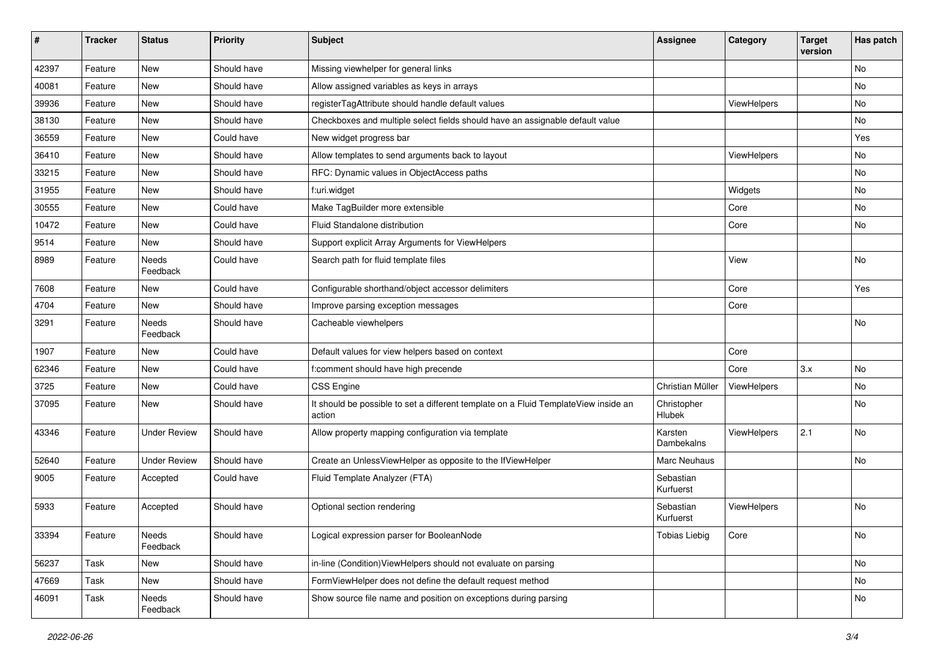| $\pmb{\#}$ | <b>Tracker</b> | <b>Status</b>       | <b>Priority</b> | Subject                                                                                       | Assignee               | Category    | <b>Target</b><br>version | Has patch |
|------------|----------------|---------------------|-----------------|-----------------------------------------------------------------------------------------------|------------------------|-------------|--------------------------|-----------|
| 42397      | Feature        | New                 | Should have     | Missing viewhelper for general links                                                          |                        |             |                          | No        |
| 40081      | Feature        | New                 | Should have     | Allow assigned variables as keys in arrays                                                    |                        |             |                          | No        |
| 39936      | Feature        | New                 | Should have     | registerTagAttribute should handle default values                                             |                        | ViewHelpers |                          | No        |
| 38130      | Feature        | <b>New</b>          | Should have     | Checkboxes and multiple select fields should have an assignable default value                 |                        |             |                          | No        |
| 36559      | Feature        | New                 | Could have      | New widget progress bar                                                                       |                        |             |                          | Yes       |
| 36410      | Feature        | New                 | Should have     | Allow templates to send arguments back to layout                                              |                        | ViewHelpers |                          | No        |
| 33215      | Feature        | New                 | Should have     | RFC: Dynamic values in ObjectAccess paths                                                     |                        |             |                          | No        |
| 31955      | Feature        | New                 | Should have     | f:uri.widget                                                                                  |                        | Widgets     |                          | No        |
| 30555      | Feature        | <b>New</b>          | Could have      | Make TagBuilder more extensible                                                               |                        | Core        |                          | No        |
| 10472      | Feature        | New                 | Could have      | Fluid Standalone distribution                                                                 |                        | Core        |                          | No        |
| 9514       | Feature        | New                 | Should have     | Support explicit Array Arguments for ViewHelpers                                              |                        |             |                          |           |
| 8989       | Feature        | Needs<br>Feedback   | Could have      | Search path for fluid template files                                                          |                        | View        |                          | No        |
| 7608       | Feature        | New                 | Could have      | Configurable shorthand/object accessor delimiters                                             |                        | Core        |                          | Yes       |
| 4704       | Feature        | New                 | Should have     | Improve parsing exception messages                                                            |                        | Core        |                          |           |
| 3291       | Feature        | Needs<br>Feedback   | Should have     | Cacheable viewhelpers                                                                         |                        |             |                          | No        |
| 1907       | Feature        | New                 | Could have      | Default values for view helpers based on context                                              |                        | Core        |                          |           |
| 62346      | Feature        | <b>New</b>          | Could have      | f:comment should have high precende                                                           |                        | Core        | 3.x                      | No        |
| 3725       | Feature        | New                 | Could have      | <b>CSS Engine</b>                                                                             | Christian Müller       | ViewHelpers |                          | No        |
| 37095      | Feature        | New                 | Should have     | It should be possible to set a different template on a Fluid TemplateView inside an<br>action | Christopher<br>Hlubek  |             |                          | No        |
| 43346      | Feature        | <b>Under Review</b> | Should have     | Allow property mapping configuration via template                                             | Karsten<br>Dambekalns  | ViewHelpers | 2.1                      | <b>No</b> |
| 52640      | Feature        | <b>Under Review</b> | Should have     | Create an UnlessViewHelper as opposite to the IfViewHelper                                    | <b>Marc Neuhaus</b>    |             |                          | No        |
| 9005       | Feature        | Accepted            | Could have      | Fluid Template Analyzer (FTA)                                                                 | Sebastian<br>Kurfuerst |             |                          |           |
| 5933       | Feature        | Accepted            | Should have     | Optional section rendering                                                                    | Sebastian<br>Kurfuerst | ViewHelpers |                          | No        |
| 33394      | Feature        | Needs<br>Feedback   | Should have     | Logical expression parser for BooleanNode                                                     | <b>Tobias Liebig</b>   | Core        |                          | No        |
| 56237      | Task           | New                 | Should have     | in-line (Condition) ViewHelpers should not evaluate on parsing                                |                        |             |                          | No        |
| 47669      | Task           | New                 | Should have     | FormViewHelper does not define the default request method                                     |                        |             |                          | No        |
| 46091      | Task           | Needs<br>Feedback   | Should have     | Show source file name and position on exceptions during parsing                               |                        |             |                          | No        |